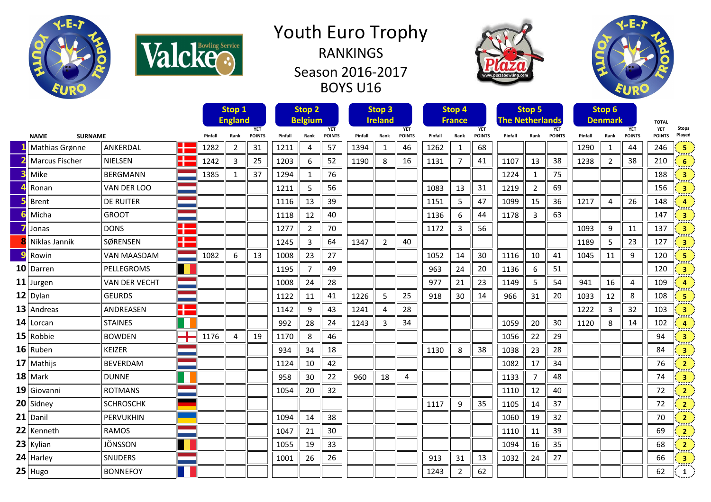



## Youth Euro Trophy RANKINGS Season 2016-2017 BOYS U16





| <b>SURNAME</b><br><b>NAME</b><br>Æ<br>Mathias Grønne<br>ANKERDAL |                |                      |                | Stop 1<br><b>England</b> |                |                             | Stop <sub>2</sub><br><b>Belgium</b> |                |                             | Stop <sub>3</sub><br><b>Ireland</b> |                |                             | Stop 4<br><b>France</b> |                | <b>The Netherlands</b>      | Stop 5  |                |                             | Stop 6<br><b>Denmark</b> |                | <b>TOTAL</b>                |                             |                         |
|------------------------------------------------------------------|----------------|----------------------|----------------|--------------------------|----------------|-----------------------------|-------------------------------------|----------------|-----------------------------|-------------------------------------|----------------|-----------------------------|-------------------------|----------------|-----------------------------|---------|----------------|-----------------------------|--------------------------|----------------|-----------------------------|-----------------------------|-------------------------|
|                                                                  |                |                      |                | Pinfall                  | Rank           | <b>YET</b><br><b>POINTS</b> | Pinfall                             | Rank           | <b>YET</b><br><b>POINTS</b> | Pinfall                             | Rank           | <b>YET</b><br><b>POINTS</b> | Pinfall                 | Rank           | <b>YET</b><br><b>POINTS</b> | Pinfall | Rank           | <b>YET</b><br><b>POINTS</b> | Pinfall                  | Rank           | <b>YET</b><br><b>POINTS</b> | <b>YET</b><br><b>POINTS</b> | <b>Stops</b><br>Played  |
|                                                                  |                |                      |                | 1282                     | $\overline{2}$ | 31                          | 1211                                | 4              | 57                          | 1394                                | 1              | 46                          | 1262                    | $\mathbf{1}$   | 68                          |         |                |                             | 1290                     | 1              | 44                          | 246                         | 5                       |
|                                                                  | Marcus Fischer | NIELSEN              | Æ              | 1242                     | 3              | 25                          | 1203                                | 6              | 52                          | 1190                                | 8              | 16                          | 1131                    | $\overline{7}$ | 41                          | 1107    | 13             | 38                          | 1238                     | $\overline{2}$ | 38                          | 210                         | 6                       |
|                                                                  | Mike           | <b>BERGMANN</b>      |                | 1385                     | $\mathbf{1}$   | 37                          | 1294                                | 1              | 76                          |                                     |                |                             |                         |                |                             | 1224    | 1              | 75                          |                          |                |                             | 188                         | 3                       |
|                                                                  | Ronan          | VAN DER LOO          |                |                          |                |                             | 1211                                | 5              | 56                          |                                     |                |                             | 1083                    | 13             | 31                          | 1219    | $\overline{2}$ | 69                          |                          |                |                             | 156                         | $\overline{\mathbf{3}}$ |
|                                                                  | <b>Brent</b>   | <b>DE RUITER</b>     |                |                          |                |                             | 1116                                | 13             | 39                          |                                     |                |                             | 1151                    | 5              | 47                          | 1099    | 15             | 36                          | 1217                     | $\overline{4}$ | 26                          | 148                         | $\overline{a}$          |
|                                                                  | Micha          | <b>GROOT</b>         |                |                          |                |                             | 1118                                | 12             | 40                          |                                     |                |                             | 1136                    | 6              | 44                          | 1178    | 3              | 63                          |                          |                |                             | 147                         | $\overline{\mathbf{3}}$ |
|                                                                  | Jonas          | <b>DONS</b>          | n Bar<br>a pr  |                          |                |                             | 1277                                | $\overline{2}$ | 70                          |                                     |                |                             | 1172                    | 3              | 56                          |         |                |                             | 1093                     | 9              | 11                          | 137                         | $\overline{\mathbf{3}}$ |
|                                                                  | Niklas Jannik  | SØRENSEN             | Œ<br>m m       |                          |                |                             | 1245                                | 3              | 64                          | 1347                                | $\overline{2}$ | 40                          |                         |                |                             |         |                |                             | 1189                     | 5              | 23                          | 127                         | 3                       |
|                                                                  | Rowin          | <b>VAN MAASDAM</b>   |                | 1082                     | 6              | 13                          | 1008                                | 23             | 27                          |                                     |                |                             | 1052                    | 14             | 30                          | 1116    | 10             | 41                          | 1045                     | 11             | 9                           | 120                         | 5                       |
|                                                                  | 10 Darren      | PELLEGROMS           | $\blacksquare$ |                          |                |                             | 1195                                | $\overline{7}$ | 49                          |                                     |                |                             | 963                     | 24             | 20                          | 1136    | 6              | 51                          |                          |                |                             | 120                         | $\overline{\mathbf{3}}$ |
|                                                                  | 11 Jurgen      | <b>VAN DER VECHT</b> |                |                          |                |                             | 1008                                | 24             | 28                          |                                     |                |                             | 977                     | 21             | 23                          | 1149    | 5              | 54                          | 941                      | 16             | 4                           | 109                         | $\Delta$                |
|                                                                  | $12$ Dylan     | <b>GEURDS</b>        |                |                          |                |                             | 1122                                | 11             | 41                          | 1226                                | 5              | 25                          | 918                     | 30             | 14                          | 966     | 31             | 20                          | 1033                     | 12             | 8                           | 108                         | 5                       |
|                                                                  | 13 Andreas     | ANDREASEN            | Æ              |                          |                |                             | 1142                                | 9              | 43                          | 1241                                | 4              | 28                          |                         |                |                             |         |                |                             | 1222                     | 3              | 32                          | 103                         | $\overline{\mathbf{3}}$ |
|                                                                  | 14 Lorcan      | <b>STAINES</b>       |                |                          |                |                             | 992                                 | 28             | 24                          | 1243                                | 3              | 34                          |                         |                |                             | 1059    | 20             | 30                          | 1120                     | 8              | 14                          | 102                         | $\overline{a}$          |
|                                                                  | 15 Robbie      | <b>BOWDEN</b>        | n Br<br>┱      | 1176                     | 4              | 19                          | 1170                                | 8              | 46                          |                                     |                |                             |                         |                |                             | 1056    | 22             | 29                          |                          |                |                             | 94                          | $\overline{\mathbf{3}}$ |
|                                                                  | 16 Ruben       | <b>KEIZER</b>        |                |                          |                |                             | 934                                 | 34             | 18                          |                                     |                |                             | 1130                    | 8              | 38                          | 1038    | 23             | 28                          |                          |                |                             | 84                          | $\overline{\mathbf{3}}$ |
|                                                                  | 17 Mathijs     | <b>BEVERDAM</b>      |                |                          |                |                             | 1124                                | 10             | 42                          |                                     |                |                             |                         |                |                             | 1082    | 17             | 34                          |                          |                |                             | 76                          | $\overline{2}$          |
|                                                                  | $18$ Mark      | <b>DUNNE</b>         |                |                          |                |                             | 958                                 | 30             | 22                          | 960                                 | 18             | 4                           |                         |                |                             | 1133    | 7              | 48                          |                          |                |                             | 74                          | 3                       |
|                                                                  | 19 Giovanni    | <b>ROTMANS</b>       |                |                          |                |                             | 1054                                | 20             | 32                          |                                     |                |                             |                         |                |                             | 1110    | 12             | 40                          |                          |                |                             | 72                          | $\overline{2}$          |
|                                                                  | 20 Sidney      | <b>SCHROSCHK</b>     |                |                          |                |                             |                                     |                |                             |                                     |                |                             | 1117                    | 9              | 35                          | 1105    | 14             | 37                          |                          |                |                             | 72                          | $\overline{2}$          |
|                                                                  | $21$ Danil     | PERVUKHIN            |                |                          |                |                             | 1094                                | 14             | 38                          |                                     |                |                             |                         |                |                             | 1060    | 19             | 32                          |                          |                |                             | 70                          | $\overline{2}$          |
|                                                                  | 22 Kenneth     | <b>RAMOS</b>         |                |                          |                |                             | 1047                                | 21             | 30                          |                                     |                |                             |                         |                |                             | 1110    | 11             | 39                          |                          |                |                             | 69                          | $\overline{2}$          |
|                                                                  | 23 Kylian      | <b>JÖNSSON</b>       |                |                          |                |                             | 1055                                | 19             | 33                          |                                     |                |                             |                         |                |                             | 1094    | 16             | 35                          |                          |                |                             | 68                          | $\overline{2}$          |
|                                                                  | 24 Harley      | SNIJDERS             |                |                          |                |                             | 1001                                | 26             | 26                          |                                     |                |                             | 913                     | 31             | 13                          | 1032    | 24             | 27                          |                          |                |                             | 66                          | $\overline{\mathbf{3}}$ |
|                                                                  | $25$ Hugo      | <b>BONNEFOY</b>      |                |                          |                |                             |                                     |                |                             |                                     |                |                             | 1243                    | $\overline{2}$ | 62                          |         |                |                             |                          |                |                             | 62                          | 1                       |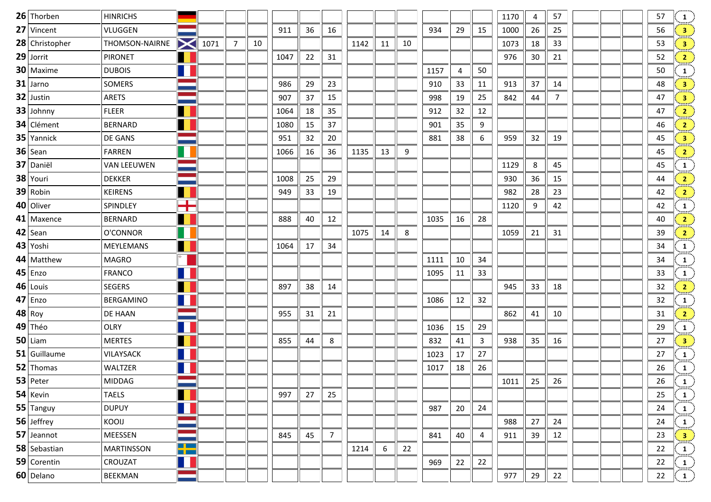| 26 Thorben     | <b>HINRICHS</b>    |                               |      |                |    |      |    |                |      |    |    |      |    |              | 1170 | 4  | 57             |  | 57 | $\mathbf{1}$                                                   |
|----------------|--------------------|-------------------------------|------|----------------|----|------|----|----------------|------|----|----|------|----|--------------|------|----|----------------|--|----|----------------------------------------------------------------|
| 27 Vincent     | VLUGGEN            |                               |      |                |    | 911  | 36 | 16             |      |    |    | 934  | 29 | 15           | 1000 | 26 | 25             |  | 56 | 3 <sup>1</sup>                                                 |
| 28 Christopher | THOMSON-NAIRNE     | <b>XI</b>                     | 1071 | $\overline{7}$ | 10 |      |    |                | 1142 | 11 | 10 |      |    |              | 1073 | 18 | 33             |  | 53 | $\left  \frac{3}{2} \right $                                   |
| 29 Jorrit      | <b>PIRONET</b>     |                               |      |                |    | 1047 | 22 | 31             |      |    |    |      |    |              | 976  | 30 | 21             |  | 52 | $\left  \frac{2}{2} \right $                                   |
| 30 Maxime      | <b>DUBOIS</b>      |                               |      |                |    |      |    |                |      |    |    | 1157 | 4  | 50           |      |    |                |  | 50 | $\mathbf{1}$                                                   |
| $31$ Jarno     | SOMERS             |                               |      |                |    | 986  | 29 | 23             |      |    |    | 910  | 33 | 11           | 913  | 37 | 14             |  | 48 | $\frac{3}{2}$                                                  |
| 32 Justin      | <b>ARETS</b>       |                               |      |                |    | 907  | 37 | 15             |      |    |    | 998  | 19 | 25           | 842  | 44 | $\overline{7}$ |  | 47 | $\frac{3}{\sin \pi}$                                           |
| 33 Johnny      | <b>FLEER</b>       |                               |      |                |    | 1064 | 18 | 35             |      |    |    | 912  | 32 | 12           |      |    |                |  | 47 | 2 <sup>3</sup>                                                 |
| 34 Clément     | <b>BERNARD</b>     |                               |      |                |    | 1080 | 15 | 37             |      |    |    | 901  | 35 | 9            |      |    |                |  | 46 | $\frac{2}{\sqrt{2}}$                                           |
| 35 Yannick     | DE GANS            |                               |      |                |    | 951  | 32 | 20             |      |    |    | 881  | 38 | 6            | 959  | 32 | 19             |  | 45 | $\frac{3}{\sinh^2}$                                            |
| $36$ Sean      | <b>FARREN</b>      |                               |      |                |    | 1066 | 16 | 36             | 1135 | 13 | 9  |      |    |              |      |    |                |  | 45 | $\mathbf{2}_{\mathbf{z}}$                                      |
| 37 Daniël      | <b>VAN LEEUWEN</b> |                               |      |                |    |      |    |                |      |    |    |      |    |              | 1129 | 8  | 45             |  | 45 | $\frac{1}{\sin \pi}$                                           |
| 38 Youri       | <b>DEKKER</b>      |                               |      |                |    | 1008 | 25 | 29             |      |    |    |      |    |              | 930  | 36 | 15             |  | 44 | $\overline{2}$                                                 |
| 39 Robin       | <b>KEIRENS</b>     |                               |      |                |    | 949  | 33 | 19             |      |    |    |      |    |              | 982  | 28 | 23             |  | 42 | $\overline{\mathbf{2}}$                                        |
| 40 Oliver      | SPINDLEY           | $\top$                        |      |                |    |      |    |                |      |    |    |      |    |              | 1120 | 9  | 42             |  | 42 | $\frac{1}{\text{max}}$                                         |
| 41 Maxence     | <b>BERNARD</b>     |                               |      |                |    | 888  | 40 | 12             |      |    |    | 1035 | 16 | 28           |      |    |                |  | 40 | $\frac{2}{\sinh^2}$                                            |
| 42 Sean        | O'CONNOR           |                               |      |                |    |      |    |                | 1075 | 14 | 8  |      |    |              | 1059 | 21 | 31             |  | 39 | $\left  \frac{2}{2} \right $                                   |
| 43 Yoshi       | MEYLEMANS          |                               |      |                |    | 1064 | 17 | 34             |      |    |    |      |    |              |      |    |                |  | 34 | $\frac{1}{2}$                                                  |
| 44 Matthew     | <b>MAGRO</b>       |                               |      |                |    |      |    |                |      |    |    | 1111 | 10 | 34           |      |    |                |  | 34 | $\frac{1}{1}$                                                  |
| $45$ Enzo      | <b>FRANCO</b>      |                               |      |                |    |      |    |                |      |    |    | 1095 | 11 | 33           |      |    |                |  | 33 | $\mathbf{1}$                                                   |
| 46 Louis       | SEGERS             |                               |      |                |    | 897  | 38 | 14             |      |    |    |      |    |              | 945  | 33 | 18             |  | 32 | $\overline{2}$                                                 |
| $47$ Enzo      | <b>BERGAMINO</b>   |                               |      |                |    |      |    |                |      |    |    | 1086 | 12 | 32           |      |    |                |  | 32 | $\frac{1}{2}$                                                  |
| $48$ Roy       | DE HAAN            |                               |      |                |    | 955  | 31 | 21             |      |    |    |      |    |              | 862  | 41 | 10             |  | 31 | $\overline{\mathbf{2}}$                                        |
| 49 Théo        | <b>OLRY</b>        |                               |      |                |    |      |    |                |      |    |    | 1036 | 15 | 29           |      |    |                |  | 29 | $\frac{1}{2}$                                                  |
| $50$ Liam      | <b>MERTES</b>      |                               |      |                |    | 855  | 44 | 8              |      |    |    | 832  | 41 | $\mathbf{3}$ | 938  | 35 | 16             |  | 27 | $\frac{3}{2}$                                                  |
| 51 Guillaume   | VILAYSACK          |                               |      |                |    |      |    |                |      |    |    | 1023 | 17 | 27           |      |    |                |  | 27 | $\frac{1}{2}$                                                  |
| 52 Thomas      | WALTZER            |                               |      |                |    |      |    |                |      |    |    | 1017 | 18 | 26           |      |    |                |  | 26 |                                                                |
| 53 Peter       | <b>MIDDAG</b>      |                               |      |                |    |      |    |                |      |    |    |      |    |              | 1011 | 25 | 26             |  | 26 | $\begin{pmatrix} 1 \ 1 \end{pmatrix}$                          |
| $54$ Kevin     | <b>TAELS</b>       |                               |      |                |    | 997  | 27 | 25             |      |    |    |      |    |              |      |    |                |  | 25 | $\left \frac{1}{\min\left(\cdot\right)}\right $                |
| $55$ Tanguy    | <b>DUPUY</b>       |                               |      |                |    |      |    |                |      |    |    | 987  | 20 | 24           |      |    |                |  | 24 | $\frac{1}{\sinh(\theta)}$                                      |
| $56$ Jeffrey   | KOOIJ              |                               |      |                |    |      |    |                |      |    |    |      |    |              | 988  | 27 | 24             |  | 24 | $\mathbf{1}$                                                   |
| 57 Jeannot     | MEESSEN            |                               |      |                |    | 845  | 45 | $\overline{7}$ |      |    |    | 841  | 40 | 4            | 911  | 39 | 12             |  | 23 | $\frac{3}{2}$                                                  |
| 58 Sebastian   | MARTINSSON         | <u>e Le</u><br><b>Barbara</b> |      |                |    |      |    |                | 1214 | 6  | 22 |      |    |              |      |    |                |  | 22 | $\left  \begin{array}{c} 1 \ \cdots \end{array} \right\rangle$ |
| 59 Corentin    | CROUZAT            | H                             |      |                |    |      |    |                |      |    |    | 969  | 22 | 22           |      |    |                |  | 22 | $\frac{1}{\sinh^2}$                                            |
| 60 Delano      | BEEKMAN            |                               |      |                |    |      |    |                |      |    |    |      |    |              | 977  | 29 | 22             |  | 22 | $\left( 1_{\cdot }\right)$                                     |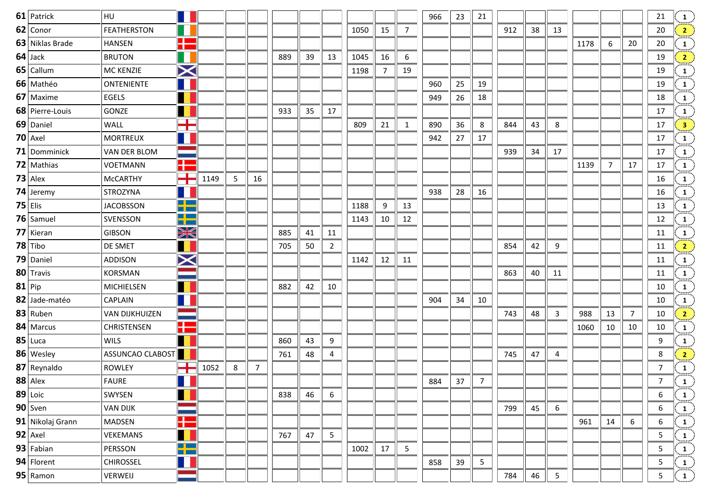| 61 Patrick       | <b>HU</b>             |                               |      |   |    |     |    |                |      |    |                | 966 | 23 | 21 |     |    |                |      |                |                | 21               |  |
|------------------|-----------------------|-------------------------------|------|---|----|-----|----|----------------|------|----|----------------|-----|----|----|-----|----|----------------|------|----------------|----------------|------------------|--|
| 62 Conor         | <b>FEATHERSTON</b>    |                               |      |   |    |     |    |                | 1050 | 15 | $\overline{7}$ |     |    |    | 912 | 38 | 13             |      |                |                | 20               |  |
| 63 Niklas Brade  | <b>HANSEN</b>         | H                             |      |   |    |     |    |                |      |    |                |     |    |    |     |    |                | 1178 | 6              | 20             | 20               |  |
| $64$ Jack        | <b>BRUTON</b>         | $\blacksquare$                |      |   |    | 889 | 39 | 13             | 1045 | 16 | 6              |     |    |    |     |    |                |      |                |                | 19               |  |
| 65 Callum        | MC KENZIE             | $\bm{\times}$                 |      |   |    |     |    |                | 1198 | 7  | 19             |     |    |    |     |    |                |      |                |                | 19               |  |
| 66 Mathéo        | <b>ONTENIENTE</b>     | $\blacksquare$                |      |   |    |     |    |                |      |    |                | 960 | 25 | 19 |     |    |                |      |                |                | 19               |  |
| 67 Maxime        | <b>EGELS</b>          | $\blacksquare$                |      |   |    |     |    |                |      |    |                | 949 | 26 | 18 |     |    |                |      |                |                | 18               |  |
| 68 Pierre-Louis  | GONZE                 |                               |      |   |    | 933 | 35 | 17             |      |    |                |     |    |    |     |    |                |      |                |                | 17               |  |
| 69 Daniel        | WALL                  | $\blacksquare$<br><u>a ta</u> |      |   |    |     |    |                | 809  | 21 | $\mathbf{1}$   | 890 | 36 | 8  | 844 | 43 | 8              |      |                |                | 17               |  |
| $70$ Axel        | <b>MORTREUX</b>       | ш                             |      |   |    |     |    |                |      |    |                | 942 | 27 | 17 |     |    |                |      |                |                | 17               |  |
| 71 Domminick     | VAN DER BLOM          |                               |      |   |    |     |    |                |      |    |                |     |    |    | 939 | 34 | 17             |      |                |                | 17               |  |
| 72 Mathias       | <b>VOETMANN</b>       | H                             |      |   |    |     |    |                |      |    |                |     |    |    |     |    |                | 1139 | $\overline{7}$ | 17             | 17               |  |
| $73$ Alex        | McCARTHY              | ┽                             | 1149 | 5 | 16 |     |    |                |      |    |                |     |    |    |     |    |                |      |                |                | 16               |  |
| $74$ Jeremy      | STROZYNA              | T                             |      |   |    |     |    |                |      |    |                | 938 | 28 | 16 |     |    |                |      |                |                | 16               |  |
| $75$ Elis        | <b>JACOBSSON</b>      | <u>o es</u><br>a m            |      |   |    |     |    |                | 1188 | 9  | 13             |     |    |    |     |    |                |      |                |                | 13               |  |
| 76 Samuel        | SVENSSON              | $\blacksquare$<br><u>a pa</u> |      |   |    |     |    |                | 1143 | 10 | 12             |     |    |    |     |    |                |      |                |                | 12               |  |
| 77 Kieran        | <b>GIBSON</b>         | XK                            |      |   |    | 885 | 41 | 11             |      |    |                |     |    |    |     |    |                |      |                |                | 11               |  |
| $78$ Tibo        | DE SMET               | Ш                             |      |   |    | 705 | 50 | $\overline{2}$ |      |    |                |     |    |    | 854 | 42 | 9              |      |                |                | 11               |  |
| 79 Daniel        | ADDISON               | $\bm{\times}$                 |      |   |    |     |    |                | 1142 | 12 | 11             |     |    |    |     |    |                |      |                |                | 11               |  |
| 80 Travis        | KORSMAN               |                               |      |   |    |     |    |                |      |    |                |     |    |    | 863 | 40 | 11             |      |                |                | 11               |  |
| $81$ Pip         | <b>MICHIELSEN</b>     | H                             |      |   |    | 882 | 42 | 10             |      |    |                |     |    |    |     |    |                |      |                |                | 10               |  |
| 82 Jade-matéo    | CAPLAIN               | 11                            |      |   |    |     |    |                |      |    |                | 904 | 34 | 10 |     |    |                |      |                |                | 10               |  |
| 83 Ruben         | <b>VAN DIJKHUIZEN</b> |                               |      |   |    |     |    |                |      |    |                |     |    |    | 743 | 48 | 3              | 988  | 13             | 7 <sup>7</sup> | 10               |  |
| 84 Marcus        | <b>CHRISTENSEN</b>    | H                             |      |   |    |     |    |                |      |    |                |     |    |    |     |    |                | 1060 | 10             | 10             | 10               |  |
| $85$ Luca        | <b>WILS</b>           |                               |      |   |    | 860 | 43 | 9              |      |    |                |     |    |    |     |    |                |      |                |                | 9                |  |
| 86 Wesley        | ASSUNCAO CLABOST      |                               |      |   |    | 761 | 48 | 4              |      |    |                |     |    |    | 745 | 47 | 4              |      |                |                | 8                |  |
| 87 Reynaldo      | ROWLEY                | T                             | 1052 | 8 | 7  |     |    |                |      |    |                |     |    |    |     |    |                |      |                |                | $\overline{7}$   |  |
| 88 Alex          | <b>FAURE</b>          |                               |      |   |    |     |    |                |      |    |                | 884 | 37 | 7  |     |    |                |      |                |                | $7^{\circ}$      |  |
| $89$ Loic        | SWYSEN                |                               |      |   |    | 838 | 46 | 6              |      |    |                |     |    |    |     |    |                |      |                |                | 6                |  |
| $90$ Sven        | <b>VAN DIJK</b>       |                               |      |   |    |     |    |                |      |    |                |     |    |    | 799 | 45 | 6              |      |                |                | 6                |  |
| 91 Nikolaj Grann | MADSEN                | H                             |      |   |    |     |    |                |      |    |                |     |    |    |     |    |                | 961  | 14             | 6              | $\boldsymbol{6}$ |  |
| 92 Axel          | VEKEMANS              | П                             |      |   |    | 767 | 47 | 5              |      |    |                |     |    |    |     |    |                |      |                |                | 5                |  |
| $93$ Fabian      | PERSSON               | <u> په په</u>                 |      |   |    |     |    |                | 1002 | 17 | 5              |     |    |    |     |    |                |      |                |                | 5                |  |
| 94 Florent       | <b>CHIROSSEL</b>      | Ш                             |      |   |    |     |    |                |      |    |                | 858 | 39 | 5  |     |    |                |      |                |                | 5                |  |
| $95$ Ramon       | VERWEIJ               |                               |      |   |    |     |    |                |      |    |                |     |    |    | 784 | 46 | 5 <sub>1</sub> |      |                |                | 5 <sub>1</sub>   |  |